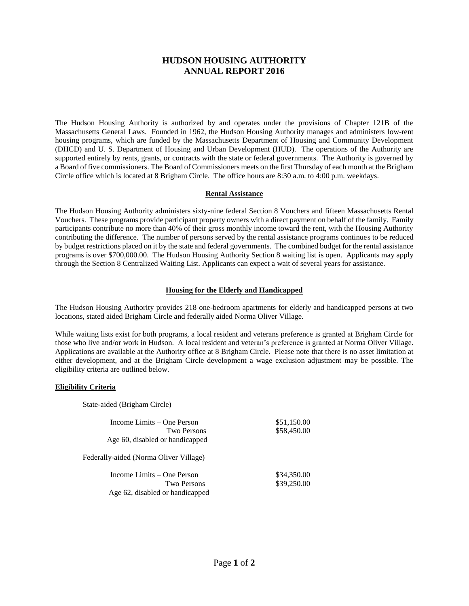# **HUDSON HOUSING AUTHORITY ANNUAL REPORT 2016**

The Hudson Housing Authority is authorized by and operates under the provisions of Chapter 121B of the Massachusetts General Laws. Founded in 1962, the Hudson Housing Authority manages and administers low-rent housing programs, which are funded by the Massachusetts Department of Housing and Community Development (DHCD) and U. S. Department of Housing and Urban Development (HUD). The operations of the Authority are supported entirely by rents, grants, or contracts with the state or federal governments. The Authority is governed by a Board of five commissioners. The Board of Commissioners meets on the first Thursday of each month at the Brigham Circle office which is located at 8 Brigham Circle. The office hours are 8:30 a.m. to 4:00 p.m. weekdays.

## **Rental Assistance**

The Hudson Housing Authority administers sixty-nine federal Section 8 Vouchers and fifteen Massachusetts Rental Vouchers. These programs provide participant property owners with a direct payment on behalf of the family. Family participants contribute no more than 40% of their gross monthly income toward the rent, with the Housing Authority contributing the difference. The number of persons served by the rental assistance programs continues to be reduced by budget restrictions placed on it by the state and federal governments. The combined budget for the rental assistance programs is over \$700,000.00. The Hudson Housing Authority Section 8 waiting list is open. Applicants may apply through the Section 8 Centralized Waiting List. Applicants can expect a wait of several years for assistance.

## **Housing for the Elderly and Handicapped**

The Hudson Housing Authority provides 218 one-bedroom apartments for elderly and handicapped persons at two locations, stated aided Brigham Circle and federally aided Norma Oliver Village.

While waiting lists exist for both programs, a local resident and veterans preference is granted at Brigham Circle for those who live and/or work in Hudson. A local resident and veteran's preference is granted at Norma Oliver Village. Applications are available at the Authority office at 8 Brigham Circle. Please note that there is no asset limitation at either development, and at the Brigham Circle development a wage exclusion adjustment may be possible. The eligibility criteria are outlined below.

## **Eligibility Criteria**

State-aided (Brigham Circle)

| Income Limits – One Person<br>Two Persons<br>Age 60, disabled or handicapped | \$51,150.00<br>\$58,450.00 |  |
|------------------------------------------------------------------------------|----------------------------|--|
| Federally-aided (Norma Oliver Village)                                       |                            |  |
| Income Limits – One Person<br>Two Persons<br>Age 62, disabled or handicapped | \$34,350.00<br>\$39,250.00 |  |